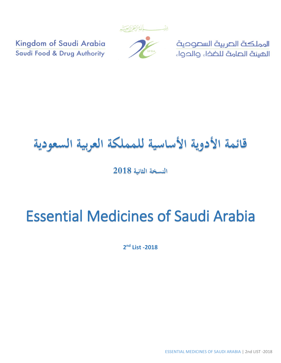

المملكة الصربية السصوحية الميئة الصامة للضخاء والحواء

Kingdom of Saudi Arabia Saudi Food & Drug Authority

## **قائمة األدوية األساسية للمملكة العربية السعودية**

**النسخة الثانية 2018**

## Essential Medicines of Saudi Arabia

**2 nd List -2018**

ESSENTIAL MEDICINES OF SAUDI ARABIA | 2nd LIST -2018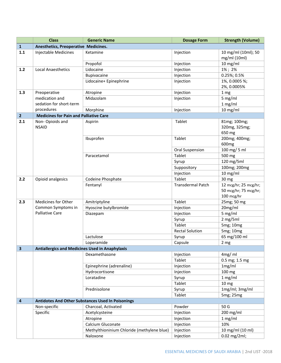|                         | <b>Class</b>                                           | <b>Generic Name</b>                               | <b>Dosage Form</b>       | <b>Strength (Volume)</b>                                     |
|-------------------------|--------------------------------------------------------|---------------------------------------------------|--------------------------|--------------------------------------------------------------|
| $\mathbf{1}$            | Anesthetics, Preoperative Medicines.                   |                                                   |                          |                                                              |
| 1.1                     | <b>Injectable Medicines</b>                            | Ketamine                                          | Injection                | 10 mg/ml (10ml); 50                                          |
|                         |                                                        |                                                   |                          | mg/ml (10ml)                                                 |
|                         |                                                        | Propofol                                          | Injection                | $10$ mg/ml                                                   |
| $1.2$                   | <b>Local Anaesthetics</b>                              | Lidocaine                                         | Injection                | 1%; 2%                                                       |
|                         |                                                        | Bupivacaine                                       | Injection                | 0.25%; 0.5%                                                  |
|                         |                                                        | Lidocaine+ Epinephrine                            | Injection                | 1%, 0.0005 %;                                                |
|                         |                                                        |                                                   |                          | 2%, 0.0005%                                                  |
| 1.3                     | Preoperative                                           | Atropine                                          | Injection                | 1 mg                                                         |
|                         | medication and                                         | Midazolam                                         | Injection                | $5$ mg/ml                                                    |
|                         | sedation for short-term                                |                                                   |                          | 1 mg/ml                                                      |
|                         | procedures                                             | Morphine                                          | Injection                | $10$ mg/ml                                                   |
| $\overline{2}$          | <b>Medicines for Pain and Palliative Care</b>          |                                                   |                          |                                                              |
| 2.1                     | Non-Opioids and<br><b>NSAID</b>                        | Aspirin                                           | Tablet                   | 81mg; 100mg;<br>320mg, 325mg;<br>650 mg                      |
|                         |                                                        | Ibuprofen                                         | Tablet                   | 200mg; 400mg;<br>600 <sub>mg</sub>                           |
|                         |                                                        |                                                   | Oral Suspension          | 100 mg/ 5 ml                                                 |
|                         |                                                        | Paracetamol                                       | Tablet                   | 500 mg                                                       |
|                         |                                                        |                                                   | Syrup                    | 120 mg/5ml                                                   |
|                         |                                                        |                                                   | Suppository              | 100mg; 200mg                                                 |
|                         |                                                        |                                                   | Injection                | 10 mg/ml                                                     |
| 2.2                     | Opioid analgesics                                      | Codeine Phosphate                                 | Tablet                   | 30 mg                                                        |
|                         |                                                        | Fentanyl                                          | <b>Transdermal Patch</b> | 12 mcg/hr; 25 mcg/hr;<br>50 mcg/hr; 75 mcg/hr;<br>100 mcg/hr |
| 2.3                     | Medicines for Other                                    | Amitriptyline                                     | Tablet                   | 25mg; 50 mg                                                  |
|                         | Common Symptoms in                                     | Hyoscine butylbromide                             | Injection                | 20mg/ml                                                      |
|                         | <b>Palliative Care</b>                                 | Diazepam                                          | Injection                | 5 mg/ml                                                      |
|                         |                                                        |                                                   | Syrup                    | 2 mg/5ml                                                     |
|                         |                                                        |                                                   | Tablet                   | 5mg; 10mg                                                    |
|                         |                                                        |                                                   | <b>Rectal Solution</b>   | 5mg; 10mg                                                    |
|                         |                                                        | Lactulose                                         | Syrup                    | 65 mg/100 ml                                                 |
|                         |                                                        | Loperamide                                        | Capsule                  | 2 <sub>mg</sub>                                              |
| $\overline{\mathbf{3}}$ | <b>Antiallergics and Medicines Used in Anaphylaxis</b> |                                                   |                          |                                                              |
|                         |                                                        | Dexamethasone                                     | Injection                | 4mg/ml                                                       |
|                         |                                                        |                                                   | Tablet                   | 0.5 mg; 1.5 mg                                               |
|                         |                                                        | Epinephrine (adrenaline)                          | Injection                | 1mg/ml                                                       |
|                         |                                                        | Hydrocortisone                                    | Injection                | 100 mg                                                       |
|                         |                                                        | Loratadine                                        | Syrup                    | 1 mg/ml                                                      |
|                         |                                                        |                                                   | Tablet                   | 10 <sub>mg</sub>                                             |
|                         |                                                        | Prednisolone                                      | Syrup                    | 1mg/ml; 3mg/ml                                               |
|                         |                                                        |                                                   | Tablet                   | 5mg; 25mg                                                    |
| $\overline{\mathbf{4}}$ |                                                        | Antidotes And Other Substances Used In Poisonings |                          |                                                              |
|                         | Non-specific                                           | Charcoal, Activated                               | Powder                   | 50 G                                                         |
|                         | Specific                                               | Acetylcysteine                                    | Injection                | 200 mg/ml                                                    |
|                         |                                                        | Atropine                                          | Injection                | 1 mg/ml                                                      |
|                         |                                                        | Calcium Gluconate                                 | Injection                | 10%                                                          |
|                         |                                                        | Methylthioninium Chloride (methylene blue)        | Injection                | 10 mg/ml (10 ml)                                             |
|                         |                                                        | Naloxone                                          | Injection                | 0.02 mg/2ml;                                                 |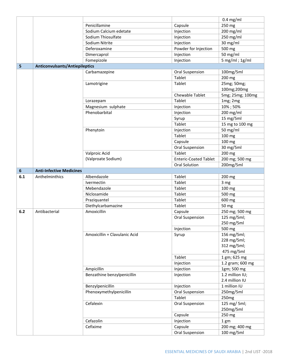|                  |                                       |                               |                              | $0.4$ mg/ml                                             |
|------------------|---------------------------------------|-------------------------------|------------------------------|---------------------------------------------------------|
|                  |                                       | Penicillamine                 | Capsule                      | 250 mg                                                  |
|                  |                                       | Sodium Calcium edetate        | Injection                    | 200 mg/ml                                               |
|                  |                                       | Sodium Thiosulfate            | Injection                    | 250 mg/ml                                               |
|                  |                                       | Sodium Nitrite                | Injection                    | 30 mg/ml                                                |
|                  |                                       | Deferoxamine                  | Powder for Injection         | 500 mg                                                  |
|                  |                                       | Dimercaprol                   | Injection                    | 50 mg/ml                                                |
|                  |                                       | Fomepizole                    | Injection                    | $5$ mg/ml; 1g/ml                                        |
| 5                | <b>Anticonvulsants/Antiepileptics</b> |                               |                              |                                                         |
|                  |                                       | Carbamazepine                 | Oral Suspension              | 100mg/5ml                                               |
|                  |                                       |                               | Tablet                       | 200 mg                                                  |
|                  |                                       | Lamotrigine                   | Tablet                       | 25mg; 50mg;<br>100mg;200mg                              |
|                  |                                       |                               | Chewable Tablet              | 5mg; 25mg; 100mg                                        |
|                  |                                       | Lorazepam                     | Tablet                       | 1mg; 2mg                                                |
|                  |                                       | Magnesium sulphate            | Injection                    | 10%; 50%                                                |
|                  |                                       | Phenobarbital                 | Injection                    | 200 mg/ml                                               |
|                  |                                       |                               | Syrup                        | 15 mg/5ml                                               |
|                  |                                       |                               | Tablet                       | 15 mg to 100 mg                                         |
|                  |                                       | Phenytoin                     | Injection                    | 50 mg/ml                                                |
|                  |                                       |                               | Tablet                       | 100 mg                                                  |
|                  |                                       |                               | Capsule                      | 100 mg                                                  |
|                  |                                       |                               | <b>Oral Suspension</b>       | 30 mg/5ml                                               |
|                  |                                       | Valproic Acid                 | Tablet                       | 200 mg                                                  |
|                  |                                       | (Valproate Sodium)            | <b>Enteric-Coated Tablet</b> | 200 mg; 500 mg                                          |
|                  |                                       |                               | Oral Solution                | 200mg/5ml                                               |
| $\boldsymbol{6}$ | <b>Anti-Infective Medicines</b>       |                               |                              |                                                         |
| 6.1              | Anthelminthics                        | Albendazole                   | Tablet                       | 200 mg                                                  |
|                  |                                       | Ivermectin                    | Tablet                       | 3 mg                                                    |
|                  |                                       | Mebendazole                   | Tablet                       | 100 mg                                                  |
|                  |                                       | Niclosamide                   | Tablet                       | 500 mg                                                  |
|                  |                                       | Praziquantel                  | Tablet                       | 600 mg                                                  |
|                  |                                       | Diethylcarbamazine            | Tablet                       | 50 mg                                                   |
| 6.2              | Antibacterial                         | Amoxicillin                   | Capsule                      | 250 mg; 500 mg                                          |
|                  |                                       |                               | <b>Oral Suspension</b>       | 125 mg/5ml;<br>250 mg/5ml                               |
|                  |                                       |                               | Injection                    | 500 mg                                                  |
|                  |                                       | Amoxicillin + Clavulanic Acid | Syrup                        | 156 mg/5ml;<br>228 mg/5ml;<br>312 mg/5ml;<br>475 mg/5ml |
|                  |                                       |                               | Tablet                       | 1 gm; 625 mg                                            |
|                  |                                       |                               | Injection                    | 1.2 gram; 600 mg                                        |
|                  |                                       | Ampicillin                    | Injection                    | 1gm; 500 mg                                             |
|                  |                                       | Benzathine benzylpenicillin   | Injection                    | 1.2 million IU;<br>2.4 million IU                       |
|                  |                                       | Benzylpenicillin              | Injection                    | 1 million IU                                            |
|                  |                                       | Phenoxymethylpenicillin       | Oral Suspension              | 250mg/5ml                                               |
|                  |                                       |                               | Tablet                       | 250 <sub>mg</sub>                                       |
|                  |                                       | Cefalexin                     | Oral Suspension              | 125 mg/ 5ml;<br>250mg/5ml                               |
|                  |                                       |                               | Capsule                      | 250 mg                                                  |
|                  |                                       | Cefazolin                     | Injection                    | 1 gm                                                    |
|                  |                                       | Cefixime                      | Capsule                      | 200 mg; 400 mg                                          |
|                  |                                       |                               | <b>Oral Suspension</b>       | 100 mg/5ml                                              |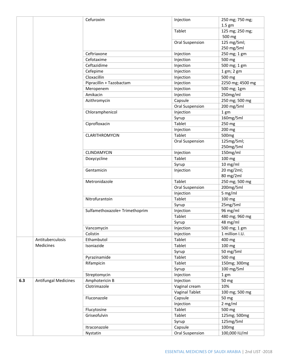|     |                             | Cefuroxim                      | Injection              | 250 mg; 750 mg;             |
|-----|-----------------------------|--------------------------------|------------------------|-----------------------------|
|     |                             |                                | Tablet                 | $1.5$ gm<br>125 mg; 250 mg; |
|     |                             |                                |                        | 500 mg                      |
|     |                             |                                | <b>Oral Suspension</b> | 125 mg/5ml;                 |
|     |                             |                                |                        | 250 mg/5ml                  |
|     |                             | Ceftriaxone                    | Injection              | 250 mg; 1 gm                |
|     |                             | Cefotaxime                     | Injection              | 500 mg                      |
|     |                             | Ceftazidime                    | Injection              | 500 mg; 1 gm                |
|     |                             | Cefepime                       | Injection              | 1 gm; 2 gm                  |
|     |                             | Cloxacillin                    | Injection              | 500 mg                      |
|     |                             | Pipracillin + Tazobactam       | Injection              | 2250 mg; 4500 mg            |
|     |                             | Meropenem                      | Injection              | 500 mg; 1gm                 |
|     |                             | Amikacin                       | Injection              | 250mg/ml                    |
|     |                             | Azithromycin                   | Capsule                | 250 mg; 500 mg              |
|     |                             |                                | Oral Suspension        | 200 mg/5ml                  |
|     |                             | Chloramphenicol                | Injection              | 1 gm                        |
|     |                             |                                | Syrup                  | 160mg/5ml                   |
|     |                             | Ciprofloxacin                  | Tablet                 | 250 mg                      |
|     |                             |                                | Injection              | 200 mg                      |
|     |                             | <b>CLARITHROMYCIN</b>          | Tablet                 | 500 <sub>mg</sub>           |
|     |                             |                                | Oral Suspension        | 125mg/5ml;                  |
|     |                             |                                |                        | 250mg/5ml                   |
|     |                             | CLINDAMYCIN                    | Injection              | 150mg/ml                    |
|     |                             | Doxycycline                    | Tablet                 | 100 mg                      |
|     |                             |                                | Syrup                  | $10$ mg/ml                  |
|     |                             | Gentamicin                     | Injection              | 20 mg/2ml;<br>80 mg/2ml     |
|     |                             | Metronidazole                  | Tablet                 | 250 mg; 500 mg              |
|     |                             |                                | Oral Suspension        | 200mg/5ml                   |
|     |                             |                                | Injection              | 5 mg/ml                     |
|     |                             | Nitrofurantoin                 | Tablet                 | 100 mg                      |
|     |                             |                                | Syrup                  | 25mg/5ml                    |
|     |                             | Sulfamethoxazole+ Trimethoprim | Injection              | 96 mg/ml                    |
|     |                             |                                | Tablet                 | 480 mg; 960 mg              |
|     |                             |                                | Syrup                  | 48 mg/ml                    |
|     |                             | Vancomycin                     | Injection              | 500 mg; 1 gm                |
|     |                             | Colistin                       | Injection              | 1 million I.U.              |
|     | Antituberculosis            | Ethambutol                     | Tablet                 | 400 mg                      |
|     | Medicines                   | Isoniazide                     | Tablet                 | 100 mg                      |
|     |                             |                                | Syrup                  | 50 mg/5ml                   |
|     |                             | Pyrazinamide                   | Tablet                 | 500 mg                      |
|     |                             | Rifampicin                     | Tablet                 | 150mg; 300mg                |
|     |                             |                                | Syrup                  | 100 mg/5ml                  |
|     |                             | Streptomycin                   | Injection              | 1 gm                        |
| 6.3 | <b>Antifungal Medicines</b> | Amphotericin B                 | Injection              | 50 mg                       |
|     |                             | Clotrimazole                   | Vaginal cream          | 10%                         |
|     |                             |                                | <b>Vaginal Tablet</b>  | 100 mg; 500 mg              |
|     |                             | Fluconazole                    | Capsule                | 50 mg                       |
|     |                             |                                | Injection              | 2 mg/ml                     |
|     |                             | Flucytosine                    | Tablet                 | 500 mg                      |
|     |                             | Griseofulvin                   | Tablet                 | 125mg; 500mg                |
|     |                             |                                | Syrup                  | 125mg/5ml                   |
|     |                             | Itraconazole                   | Capsule                | 100 <sub>mg</sub>           |
|     |                             | Nystatin                       | Oral Suspension        | 100,000 IU/ml               |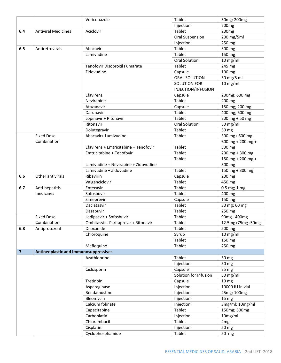|                         |                                              | Voriconazole                          | Tablet                | 50mg; 200mg       |
|-------------------------|----------------------------------------------|---------------------------------------|-----------------------|-------------------|
|                         |                                              |                                       | Injection             | 200 <sub>mg</sub> |
| 6.4                     | <b>Antiviral Medicines</b>                   | Aciclovir                             | Tablet                | 200 <sub>mg</sub> |
|                         |                                              |                                       | Oral Suspension       | 200 mg/5ml        |
|                         |                                              |                                       | Injection             | 250 mg            |
| 6.5                     | Antiretrovirals                              | Abacavir                              | Tablet                | 300 mg            |
|                         |                                              | Lamivudine                            | Tablet                | 150 mg            |
|                         |                                              |                                       | <b>Oral Solution</b>  | $10$ mg/ml        |
|                         |                                              | Tenofovir Disoproxil Fumarate         | Tablet                | 245 mg            |
|                         |                                              | Zidovudine                            | Capsule               | 100 mg            |
|                         |                                              |                                       | ORAL SOLUTION         | 50 mg/5 ml        |
|                         |                                              |                                       | <b>SOLUTION FOR</b>   | $10$ mg/ml        |
|                         |                                              |                                       | INJECTION/INFUSION    |                   |
|                         |                                              | Efavirenz                             | Capsule               | 200mg; 600 mg     |
|                         |                                              | Nevirapine                            | Tablet                | 200 mg            |
|                         |                                              | Atazanavir                            | Capsule               | 150 mg; 200 mg    |
|                         |                                              | Darunavir                             | Tablet                | 400 mg; 600 mg    |
|                         |                                              | Lopinavir + Ritonavir                 | Tablet                | $200$ mg + 50 mg  |
|                         |                                              | Ritonavir                             | <b>Oral Solution</b>  | 80 mg/ml          |
|                         |                                              | Dolutegravir                          | Tablet                | 50 mg             |
|                         | <b>Fixed Dose</b>                            | Abacavir+ Lamivudine                  | Tablet                | 300 mg+ 600 mg    |
|                         | Combination                                  |                                       |                       | 600 mg + 200 mg + |
|                         |                                              | Efavirenz + Emtricitabine + Tenofovir | Tablet                | 300 mg            |
|                         |                                              | Emtricitabine + Tenofovir             | Tablet                | $200$ mg + 300 mg |
|                         |                                              |                                       | Tablet                | 150 mg + 200 mg + |
|                         |                                              | Lamivudine + Nevirapine + Zidovudine  |                       | 300 mg            |
|                         |                                              | Lamivudine + Zidovudine               | Tablet                | 150 mg + 300 mg   |
| 6.6                     | Other antivirals                             | Ribavirin                             | Capsule               | 200 mg            |
|                         |                                              | Valganciclovir                        | Tablet                | 450 mg            |
| 6.7                     | Anti-hepatitis                               | Entecavir                             | Tablet                | 0.5 mg; 1 mg      |
|                         | medicines                                    | Sofosbuvir                            | Tablet                | 400 mg            |
|                         |                                              | Simeprevir                            | Capsule               | 150 mg            |
|                         |                                              | Daclatasvir                           | Tablet                | 30 mg; 60 mg      |
|                         |                                              | Dasabuvir                             | Tablet                | 250 mg            |
|                         | <b>Fixed Dose</b>                            | Ledipasvir + Sofosbuvir               | Tablet                | 90mg +400mg       |
|                         | Combination                                  | Ombitasvir + Paritaprevir + Ritonavir | Tablet                | 12.5mg+75mg+50mg  |
| 6.8                     | Antiprotozoal                                | Diloxanide                            | Tablet                | 500 mg            |
|                         |                                              | Chloroquine                           | Syrup                 | $10$ mg/ml        |
|                         |                                              |                                       | Tablet                | 150 mg            |
|                         |                                              | Mefloquine                            | Tablet                | 250 mg            |
| $\overline{\mathbf{z}}$ | <b>Antineoplastic and Immunosuppressives</b> |                                       |                       |                   |
|                         |                                              | Azathioprine                          | Tablet                | 50 mg             |
|                         |                                              |                                       | Injection             | 50 mg             |
|                         |                                              | Ciclosporin                           | Capsule               | 25 mg             |
|                         |                                              |                                       | Solution for Infusion | 50 mg/ml          |
|                         |                                              | Tretinoin                             | Capsule               | 10 <sub>mg</sub>  |
|                         |                                              | Asparaginase                          | Injection             | 10000 IU in vial  |
|                         |                                              | Bendamustine                          | Injection             | 25mg; 100mg       |
|                         |                                              | Bleomycin                             | Injection             | 15 mg             |
|                         |                                              | Calcium folinate                      | Injection             | 3mg/ml; 10mg/ml   |
|                         |                                              | Capecitabine                          | Tablet                | 150mg; 500mg      |
|                         |                                              | Carboplatin                           | Injection             | 10mg/ml           |
|                         |                                              | Chlorambucil                          | Tablet                | 2 <sub>mg</sub>   |
|                         |                                              | Cisplatin                             | Injection             | 50 mg             |
|                         |                                              | Cyclophosphamide                      | Tablet                | 50 mg             |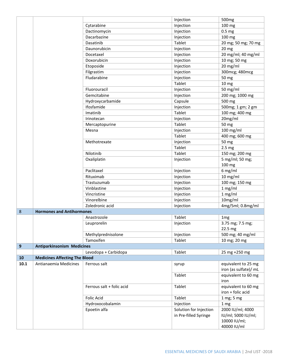|              |                                      |                           | Injection              | 500 <sub>mg</sub>         |
|--------------|--------------------------------------|---------------------------|------------------------|---------------------------|
|              |                                      | Cytarabine                | Injection              | 100 mg                    |
|              |                                      | Dactinomycin              | Injection              | 0.5 <sub>mg</sub>         |
|              |                                      | Dacarbazine               | Injection              | 100 mg                    |
|              |                                      | Dasatinib                 | Tablet                 | 20 mg; 50 mg; 70 mg       |
|              |                                      | Daunorubicin              | Injection              | 20 <sub>mg</sub>          |
|              |                                      | Docetaxel                 | Injection              | 20 mg/ml; 40 mg/ml        |
|              |                                      | Doxorubicin               | Injection              | 10 mg; 50 mg              |
|              |                                      | Etoposide                 | Injection              | 20 mg/ml                  |
|              |                                      | Filgrastim                | Injection              | 300mcg; 480mcg            |
|              |                                      | Fludarabine               | Injection              | 50 mg                     |
|              |                                      |                           | Tablet                 | 10 <sub>mg</sub>          |
|              |                                      | Fluorouracil              | Injection              | 50 mg/ml                  |
|              |                                      | Gemcitabine               | Injection              | 200 mg; 1000 mg           |
|              |                                      | Hydroxycarbamide          | Capsule                | 500 mg                    |
|              |                                      | Ifosfamide                | Injection              | 500mg; 1 gm; 2 gm         |
|              |                                      | Imatinib                  | Tablet                 | 100 mg; 400 mg            |
|              |                                      | Irinotecan                | Injection              | 20mg/ml                   |
|              |                                      | Mercaptopurine            | Tablet                 | 50 mg                     |
|              |                                      | Mesna                     | Injection              | 100 mg/ml                 |
|              |                                      |                           | Tablet                 | 400 mg; 600 mg            |
|              |                                      | Methotrexate              | Injection              | 50 mg                     |
|              |                                      |                           | Tablet                 | 2.5 <sub>mg</sub>         |
|              |                                      | Nilotinib                 | Tablet                 |                           |
|              |                                      |                           |                        | 150 mg; 200 mg            |
|              |                                      | Oxaliplatin               | Injection              | 5 mg/ml; 50 mg;<br>100 mg |
|              |                                      | Paclitaxel                | Injection              | 6 mg/ml                   |
|              |                                      | Rituximab                 | Injection              | 10 mg/ml                  |
|              |                                      | Trastuzumab               | Injection              | 100 mg; 150 mg            |
|              |                                      | Vinblastine               | Injection              | 1 mg/ml                   |
|              |                                      | Vincristine               | Injection              | 1 mg/ml                   |
|              |                                      | Vinorelbine               | Injection              | 10mg/ml                   |
|              |                                      | Zoledronic acid           | Injection              | 4mg/5ml; 0.8mg/ml         |
| 8            | <b>Hormones and Antihormones</b>     |                           |                        |                           |
|              |                                      | Anastrozole               | Tablet                 | 1 <sub>mg</sub>           |
|              |                                      | Leuprorelin               | Injection              | 3.75 mg; 7.5 mg;          |
|              |                                      |                           |                        | 22.5 mg                   |
|              |                                      | Methylprednisolone        | Injection              | 500 mg; 40 mg/ml          |
|              |                                      | Tamoxifen                 | Tablet                 | 10 mg; 20 mg              |
| $\mathbf{9}$ | <b>Antiparkinsonism Medicines</b>    |                           |                        |                           |
|              |                                      | Levodopa + Carbidopa      | Tablet                 | 25 mg +250 mg             |
| 10           | <b>Medicines Affecting The Blood</b> |                           |                        |                           |
| 10.1         | Antianaemia Medicines                | Ferrous salt              | syrup                  | equivalent to 25 mg       |
|              |                                      |                           |                        | iron (as sulfate)/ mL     |
|              |                                      |                           | Tablet                 | equivalent to 60 mg       |
|              |                                      |                           |                        | iron                      |
|              |                                      | Ferrous salt + folic acid | Tablet                 | equivalent to 60 mg       |
|              |                                      |                           |                        | iron + folic acid         |
|              |                                      | <b>Folic Acid</b>         | Tablet                 | 1 mg; 5 mg                |
|              |                                      | Hydroxocobalamin          | Injection              | 1 mg                      |
|              |                                      | Epoetin alfa              | Solution for Injection | 2000 IU/ml; 4000          |
|              |                                      |                           | in Pre-filled Syringe  | IU/ml; 5000 IU/ml;        |
|              |                                      |                           |                        | 10000 IU/ml;              |
|              |                                      |                           |                        | 40000 IU/ml               |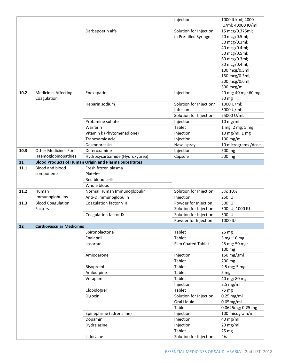|      |                                 |                                                              | Injection               | 1000 IU/ml; 4000     |
|------|---------------------------------|--------------------------------------------------------------|-------------------------|----------------------|
|      |                                 |                                                              |                         | IU/ml; 40000 IU/ml   |
|      |                                 | Darbepoetin alfa                                             | Solution for Injection  | 15 mcg/0.375ml;      |
|      |                                 |                                                              | in Pre-filled Syringe   | 20 mcg/0.5ml;        |
|      |                                 |                                                              |                         | 30 mcg/0.3ml;        |
|      |                                 |                                                              |                         | 40 mcg/0.4ml;        |
|      |                                 |                                                              |                         | 50 mcg/0.5ml;        |
|      |                                 |                                                              |                         | 60 mcg/0.3ml;        |
|      |                                 |                                                              |                         | 80 mcg/0.4ml;        |
|      |                                 |                                                              |                         | 100 mcg/0.5ml;       |
|      |                                 |                                                              |                         | 150 mcg/0.3ml;       |
|      |                                 |                                                              |                         | 300 mcg/0.6ml;       |
|      |                                 |                                                              |                         | 500 mcg/ml           |
| 10.2 | <b>Medicines Affecting</b>      | Enoxaparin                                                   | Injection               | 20 mg; 40 mg; 60 mg; |
|      | Coagulation                     |                                                              |                         | 80 mg                |
|      |                                 | Heparin sodium                                               | Solution for Injection/ | 1000 U/ml;           |
|      |                                 |                                                              | Infusion                | 5000 U/ml            |
|      |                                 |                                                              | Solution for Injection  | 25000 U/mL           |
|      |                                 | Protamine sulfate                                            | Injection               | 10 mg/ml             |
|      |                                 | Warfarin                                                     | Tablet                  | 1 mg; 2 mg; 5 mg     |
|      |                                 | Vitamin k (Phytomenadione)                                   | Injection               | 10 mg/ml; 1 mg       |
|      |                                 | Tranexamic acid                                              | Injection               | 100 mg/ml            |
|      |                                 | Desmopressin                                                 | Nasal spray             | 10 micrograms /dose  |
| 10.3 | <b>Other Medicines For</b>      | Deferoxamine                                                 | Injection               | 500 mg               |
|      | Haemoglobinopathies             | Hydroxycarbamide (Hydroxyurea)                               | Capsule                 | 500 mg               |
| 11   |                                 | <b>Blood Products of Human Origin and Plasma Substitutes</b> |                         |                      |
| 11.1 | <b>Blood and blood</b>          | Fresh frozen plasma                                          |                         |                      |
|      | components                      | Platelet                                                     |                         |                      |
|      |                                 | Red blood cells                                              |                         |                      |
|      |                                 | Whole blood                                                  |                         |                      |
| 11.2 | Human                           | Normal Human Immunoglobulin                                  | Solution for Injection  | 5%; 10%              |
|      | Immunoglobulins                 | Anti-D immunoglobulin                                        | Injection               | 250 IU               |
| 11.3 | <b>Blood Coagulation</b>        | <b>Coagulation factor VIII</b>                               | Powder for Injection    | 500 IU               |
|      | Factors                         |                                                              | Solution for Injection  | 500 IU; 1000 IU      |
|      |                                 | Coagulation factor IX                                        | Solution for Injection  | 500 IU               |
|      |                                 |                                                              | Powder for Injection    | 1000 IU              |
| 12   | <b>Cardiovascular Medicines</b> |                                                              |                         |                      |
|      |                                 | Spironolactone                                               | Tablet                  | 25 mg                |
|      |                                 | Enalapril                                                    | <b>Tablet</b>           | 5 mg; 10 mg          |
|      |                                 | Losartan                                                     | Film Coated Tablet      | 25 mg; 50 mg;        |
|      |                                 |                                                              |                         | 100 mg               |
|      |                                 | Amiodarone                                                   | Injection               | 150 mg/3ml           |
|      |                                 |                                                              | Tablet                  | 200 mg               |
|      |                                 | Bisoprolol                                                   | Tablet                  | 2.5 mg; 5 mg         |
|      |                                 | Amlodipine                                                   | Tablet                  | 5 mg                 |
|      |                                 | Verapamil                                                    | Tablet                  | 40 mg; 80 mg         |
|      |                                 |                                                              | Injection               | $2.5$ mg/ml          |
|      |                                 | Clopidogrel                                                  | Tablet                  | 75 mg                |
|      |                                 | Digoxin                                                      | Solution for Injection  | $0.25$ mg/ml         |
|      |                                 |                                                              | Oral Liquid             | $0.05$ mg/ml         |
|      |                                 |                                                              | Tablet                  | 0.0625mg; 0.25 mg    |
|      |                                 | Epinephrine (adrenaline)                                     | Injection               | 100 micogram/ml      |
|      |                                 | Dopamin                                                      | Injection               | 40 mg/ml             |
|      |                                 | Hydralazine                                                  | Injection               | 20 mg/ml             |
|      |                                 |                                                              | Tablet                  |                      |
|      |                                 |                                                              |                         | 25 mg                |
|      |                                 | Lidocaine                                                    | Solution for Injection  | 2%                   |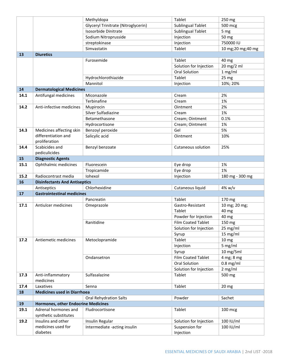|      |                                               | Methyldopa                          | Tablet                      | 250 mg              |
|------|-----------------------------------------------|-------------------------------------|-----------------------------|---------------------|
|      |                                               | Glyceryl Trinitrate (Nitroglycerin) | <b>Sublingual Tablet</b>    | 500 mcg             |
|      |                                               | Isosorbide Dinitrate                | <b>Sublingual Tablet</b>    | 5 mg                |
|      |                                               | Sodium Nitroprusside                | Injection                   | 50 mg               |
|      |                                               | streptokinase                       | Injection                   | 750000 IU           |
|      |                                               | Simvastatin                         | Tablet                      | 10 mg; 20 mg; 40 mg |
| 13   | <b>Diuretics</b>                              |                                     |                             |                     |
|      |                                               | Furosemide                          | Tablet                      | 40 mg               |
|      |                                               |                                     | Solution for Injection      | 20 mg/2 ml          |
|      |                                               |                                     | <b>Oral Solution</b>        | 1 mg/ml             |
|      |                                               | Hydrochlorothiazide                 | Tablet                      | 25 mg               |
|      |                                               | Mannitol                            | Injection                   | 10%; 20%            |
| 14   | <b>Dermatological Medicines</b>               |                                     |                             |                     |
| 14.1 | Antifungal medicines                          | Miconazole                          | Cream                       | 2%                  |
|      |                                               | Terbinafine                         | Cream                       | 1%                  |
| 14.2 | Anti-infective medicines                      | Mupirocin                           | Ointment                    | 2%                  |
|      |                                               | Silver Sulfadiazine                 | Cream                       | 1%                  |
|      |                                               | Betamethasone                       | Cream; Ointment             | 0.1%                |
|      |                                               | Hydrocortisone                      | Cream; Ointment             | 1%                  |
| 14.3 | Medicines affecting skin                      | Benzoyl peroxide                    | Gel                         | 5%                  |
|      | differentiation and<br>proliferation          | Salicylic acid                      | Ointment                    | 10%                 |
| 14.4 | Scabicides and                                | Benzyl benzoate                     | Cutaneous solution          | 25%                 |
|      | pediculicides                                 |                                     |                             |                     |
| 15   | <b>Diagnostic Agents</b>                      |                                     |                             |                     |
| 15.1 | Ophthalmic medicines                          | Fluorescein                         | Eye drop                    | 1%                  |
|      |                                               | Tropicamide                         | Eye drop                    | 1%                  |
| 15.2 | Radiocontrast media                           | Iohexol                             | Injection                   | 180 mg - 300 mg     |
|      |                                               |                                     |                             |                     |
| 16   | <b>Disinfectants And Antiseptics</b>          |                                     |                             |                     |
|      | Antiseptics                                   | Chlorhexidine                       | Cutaneous liquid            | $4\%$ w/v           |
| 17   | <b>Gastrointestinal medicines</b>             |                                     |                             |                     |
|      |                                               | Pancreatin                          | Tablet                      | 170 mg              |
| 17.1 | Antiulcer medicines                           | Omeprazole                          | Gastro-Resistant            | 10 mg; 20 mg;       |
|      |                                               |                                     | Tablet                      | 40 mg               |
|      |                                               |                                     | Powder for Injection        | 40 mg               |
|      |                                               | Ranitidine                          | Film Coated Tablet          | 150 mg              |
|      |                                               |                                     | Solution for Injection      | 25 mg/ml            |
|      |                                               |                                     | Syrup                       | 15 mg/ml            |
| 17.2 | Antiemetic medicines                          | Metoclopramide                      | Tablet                      | 10 <sub>mg</sub>    |
|      |                                               |                                     | Injection                   | 5 mg/ml             |
|      |                                               |                                     | Syrup                       | 10 mg/5ml           |
|      |                                               | Ondansetron                         | <b>Film Coated Tablet</b>   | 4 mg; 8 mg          |
|      |                                               |                                     | Oral Solution               | $0.8$ mg/ml         |
|      |                                               |                                     | Solution for Injection      | $2$ mg/ml           |
| 17.3 | Anti-inflammatory<br>medicines                | Sulfasalazine                       | Tablet                      | 500 mg              |
| 17.4 | Laxatives                                     | Senna                               | Tablet                      | 20 <sub>mg</sub>    |
| 18   | <b>Medicines used in Diarrhoea</b>            |                                     |                             |                     |
|      |                                               | <b>Oral Rehydration Salts</b>       | Powder                      | Sachet              |
| 19   | <b>Hormones, other Endocrine Medicines</b>    |                                     |                             |                     |
| 19.1 | Adrenal hormones and<br>synthetic substitutes | Fludrocortisone                     | Tablet                      | 100 mcg             |
| 19.2 | Insulins and other                            | Insulin Regular                     | Solution for Injection      | 100 IU/ml           |
|      | medicines used for<br>diabetes                | Intermediate -acting insulin        | Suspension for<br>Injection | 100 IU/ml           |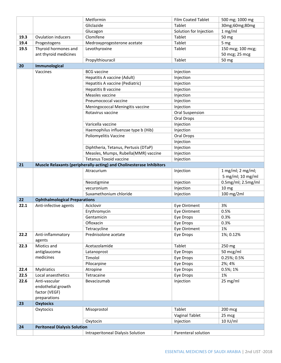|      |                                      | Metformin                                                            | <b>Film Coated Tablet</b> | 500 mg; 1000 mg         |
|------|--------------------------------------|----------------------------------------------------------------------|---------------------------|-------------------------|
|      |                                      | Gliclazide                                                           | Tablet                    | 30mg;60mg;80mg          |
|      |                                      | Glucagon                                                             | Solution for Injection    | 1 mg/ml                 |
| 19.3 | <b>Ovulation inducers</b>            | Clomifene                                                            | Tablet                    | 50 mg                   |
| 19.4 | Progestogens                         | Medroxyprogesterone acetate                                          | Tablet                    | 5 mg                    |
| 19.5 | Thyroid hormones and                 | Levothyroxine                                                        | Tablet                    | 150 mcg; 100 mcg;       |
|      | ant thyroid medicines                |                                                                      |                           | 50 mcg; 25 mcg          |
|      |                                      | Propylthiouracil                                                     | Tablet                    | 50 mg                   |
| 20   | Immunological                        |                                                                      |                           |                         |
|      | Vaccines                             | <b>BCG</b> vaccine                                                   | Injection                 |                         |
|      |                                      | Hepatitis A vaccine (Adult)                                          | Injection                 |                         |
|      |                                      | Hepatitis A vaccine (Pediatric)                                      | Injection                 |                         |
|      |                                      | Hepatitis B vaccine                                                  | Injection                 |                         |
|      |                                      | Measles vaccine                                                      | Injection                 |                         |
|      |                                      | Pneumococcal vaccine                                                 | Injection                 |                         |
|      |                                      | Meningococcal Meningitis vaccine                                     | Injection                 |                         |
|      |                                      | Rotavirus vaccine                                                    | <b>Oral Suspension</b>    |                         |
|      |                                      |                                                                      | Oral Drops                |                         |
|      |                                      | Varicella vaccine                                                    | Injection                 |                         |
|      |                                      | Haemophilus influenzae type b (Hib)                                  | Injection                 |                         |
|      |                                      | Poliomyelitis Vaccine                                                | Oral Drops                |                         |
|      |                                      |                                                                      | Injection                 |                         |
|      |                                      | Diphtheria, Tetanus, Pertusis (DTaP)                                 | Injection                 |                         |
|      |                                      | Measles, Mumps, Rubella(MMR) vaccine                                 | Injection                 |                         |
|      |                                      | <b>Tetanus Toxoid vaccine</b>                                        | Injection                 |                         |
| 21   |                                      | Muscle Relaxants (peripherally-acting) and Cholinesterase Inhibitors |                           |                         |
|      |                                      | Atracurium                                                           | Injection                 | $1 mg/ml$ ; $2 mg/ml$ ; |
|      |                                      |                                                                      |                           | 5 mg/ml; 10 mg/ml       |
|      |                                      | Neostigmine                                                          | Injection                 | 0.5mg/ml; 2.5mg/ml      |
|      |                                      | vecuronium                                                           | Injection                 | 10 <sub>mg</sub>        |
|      |                                      | Suxamethonium chloride                                               | Injection                 | 100 mg/2ml              |
| 22   | <b>Ophthalmological Preparations</b> |                                                                      |                           |                         |
| 22.1 | Anti-infective agents                | Aciclovir                                                            | Eye Ointment              | 3%                      |
|      |                                      | Erythromycin                                                         | Eye Ointment              | 0.5%                    |
|      |                                      | Gentamicin                                                           | Eye Drops                 | 0.3%                    |
|      |                                      | Ofloxacin                                                            | Eye Drops                 | 0.3%                    |
|      |                                      | Tetracycline                                                         | Eye Ointment              | 1%                      |
| 22.2 | Anti-inflammatory                    | Prednisolone acetate                                                 | Eye Drops                 | 1%; 0.12%               |
|      | agents                               |                                                                      |                           |                         |
| 22.3 | Miotics and                          | Acetazolamide                                                        | Tablet                    | 250 mg                  |
|      | antiglaucoma                         | Latanoprost                                                          | Eye Drops                 | 50 mcg/ml               |
|      | medicines                            | Timolol                                                              | Eye Drops                 | 0.25%; 0.5%             |
|      |                                      | Pilocarpine                                                          | Eye Drops                 | 2%; 4%                  |
| 22.4 | Mydriatics                           | Atropine                                                             | Eye Drops                 | 0.5%; 1%                |
| 22.5 | Local anaesthetics                   | Tetracaine                                                           | Eye Drops                 | 1%                      |
| 22.6 | Anti-vascular                        | Bevacizumab                                                          | Injection                 | 25 mg/ml                |
|      | endothelial growth                   |                                                                      |                           |                         |
|      | factor (VEGF)                        |                                                                      |                           |                         |
|      | preparations                         |                                                                      |                           |                         |
| 23   | <b>Oxytocics</b>                     |                                                                      |                           |                         |
|      | Oxytocics                            | Misoprostol                                                          | Tablet                    | 200 mcg                 |
|      |                                      |                                                                      | <b>Vaginal Tablet</b>     | 25 mcg                  |
|      |                                      | Oxytocin                                                             | Injection                 | 10 IU/ml                |
| 24   | <b>Peritoneal Dialysis Solution</b>  |                                                                      |                           |                         |
|      |                                      | Intraperitoneal Dialysis Solution                                    | Parenteral solution       |                         |
|      |                                      |                                                                      |                           |                         |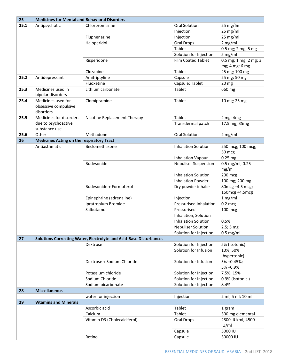| 25   | <b>Medicines for Mental and Behavioral Disorders</b> |                                                                    |                             |                                   |
|------|------------------------------------------------------|--------------------------------------------------------------------|-----------------------------|-----------------------------------|
| 25.1 | Antipsychotic                                        | Chlorpromazine                                                     | <b>Oral Solution</b>        | 25 mg/5ml                         |
|      |                                                      |                                                                    | Injection                   | 25 mg/ml                          |
|      |                                                      | Fluphenazine                                                       | Injection                   | 25 mg/ml                          |
|      |                                                      | Haloperidol                                                        | Oral Drops                  | $2$ mg/ml                         |
|      |                                                      |                                                                    | Tablet                      | 0.5 mg; 2 mg; 5 mg                |
|      |                                                      |                                                                    | Solution for Injection      | 5 mg/ml                           |
|      |                                                      | Risperidone                                                        | <b>Film Coated Tablet</b>   | 0.5 mg; 1 mg; 2 mg; 3             |
|      |                                                      |                                                                    |                             | mg; 4 mg; 6 mg                    |
|      |                                                      | Clozapine                                                          | Tablet                      | 25 mg; 100 mg                     |
| 25.2 | Antidepressant                                       | Amitriptyline                                                      | Capsule                     | 25 mg; 50 mg                      |
|      |                                                      | Fluoxetine                                                         | Capsule; Tablet             | 20 <sub>mg</sub>                  |
| 25.3 | Medicines used in<br>bipolar disorders               | Lithium carbonate                                                  | Tablet                      | 660 mg                            |
| 25.4 | Medicines used for                                   | Clomipramine                                                       | Tablet                      | 10 mg; 25 mg                      |
|      | obsessive compulsive                                 |                                                                    |                             |                                   |
|      | disorders                                            |                                                                    |                             |                                   |
| 25.5 | Medicines for disorders                              | Nicotine Replacement Therapy                                       | Tablet                      | 2 mg; 4 mg                        |
|      | due to psychoactive                                  |                                                                    | Transdermal patch           | 17.5 mg; 35mg                     |
|      | substance use                                        |                                                                    |                             |                                   |
| 25.6 | Other                                                | Methadone                                                          | <b>Oral Solution</b>        | $2$ mg/ml                         |
| 26   | <b>Medicines Acting on the respiratory Tract</b>     |                                                                    |                             |                                   |
|      | Antiasthmatic                                        | Beclomethasone                                                     | <b>Inhalation Solution</b>  | 250 mcg; 100 mcg;                 |
|      |                                                      |                                                                    |                             | 50 mcg                            |
|      |                                                      |                                                                    | <b>Inhalation Vapour</b>    | $0.25$ mg                         |
|      |                                                      | Budesonide                                                         | <b>Nebuliser Suspension</b> | 0.5 mg/ml; 0.25<br>mg/ml          |
|      |                                                      |                                                                    | <b>Inhalation Solution</b>  | 200 mcg                           |
|      |                                                      |                                                                    | <b>Inhalation Powder</b>    | 100 mg; 200 mg                    |
|      |                                                      | Budesonide + Formoterol                                            |                             |                                   |
|      |                                                      |                                                                    | Dry powder inhaler          | 80mcg +4.5 mcg;<br>160mcg +4.5mcg |
|      |                                                      | Epinephrine (adrenaline)                                           | Injection                   | 1 mg/ml                           |
|      |                                                      | Ipratropium Bromide                                                | Pressurised Inhalation      | $0.2$ mcg                         |
|      |                                                      | Salbutamol                                                         | Pressurised                 | 100 mcg                           |
|      |                                                      |                                                                    | Inhalation, Solution        |                                   |
|      |                                                      |                                                                    | <b>Inhalation Solution</b>  | 0.5%                              |
|      |                                                      |                                                                    | <b>Nebuliser Solution</b>   | 2.5; 5mg                          |
|      |                                                      |                                                                    | Solution for Injection      | $0.5$ mg/ml                       |
| 27   |                                                      | Solutions Correcting Water, Electrolyte and Acid-Base Disturbances |                             |                                   |
|      |                                                      | Dextrose                                                           | Solution for Injection      | 5% (isotonic)                     |
|      |                                                      |                                                                    | Solution for Infusion       | 10%; 50%<br>(hypertonic)          |
|      |                                                      | Dextrose + Sodium Chloride                                         | Solution for Infusion       | 5% +0.45%;<br>5% +0.9%            |
|      |                                                      | Potassium chloride                                                 | Solution for Injection      | 7.5%; 15%                         |
|      |                                                      | Sodium Chloride                                                    | Solution for Injection      | 0.9% (isotonic)                   |
|      |                                                      | Sodium bicarbonate                                                 | Solution for Injection      | 8.4%                              |
| 28   | <b>Miscellaneous</b>                                 |                                                                    |                             |                                   |
|      |                                                      | water for injection                                                | Injection                   | 2 ml; 5 ml; 10 ml                 |
| 29   | <b>Vitamins and Minerals</b>                         |                                                                    |                             |                                   |
|      |                                                      | Ascorbic acid                                                      | Tablet                      | 1 gram                            |
|      |                                                      | Calcium                                                            | Tablet                      | 500 mg elemental                  |
|      |                                                      | Vitamin D3 (Cholecalciferol)                                       | Oral Drops                  | 2800 IU/ml; 4500                  |
|      |                                                      |                                                                    |                             | IU/ml                             |
|      |                                                      |                                                                    | Capsule                     | 5000 IU                           |
|      |                                                      | Retinol                                                            | Capsule                     | 50000 IU                          |